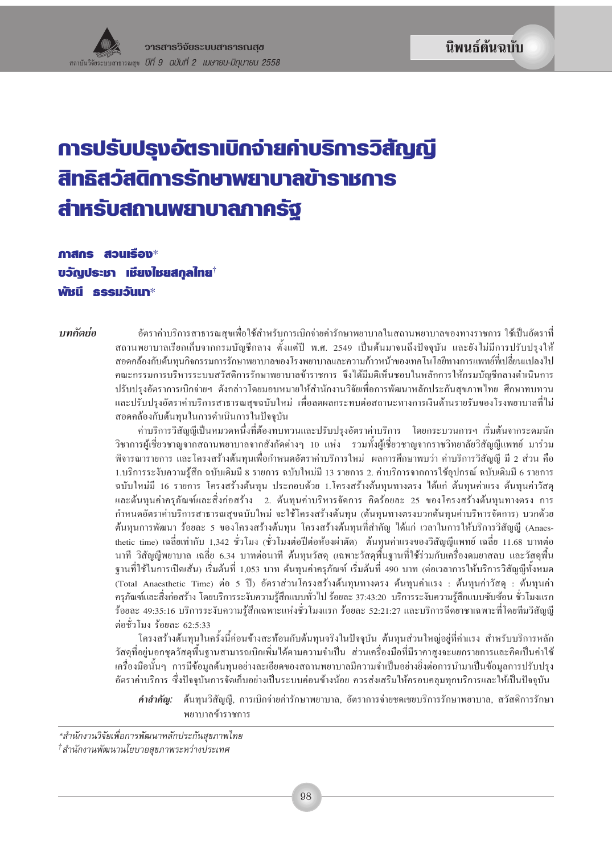# การปรับปรุงอัตราเบิกจ่ายค่าบริการวิสัญญี สิทธิสวัสดิการรักษาพยาบาลข้าราชการ สำหรับสถานพยาบาลภาครัฐ

ภาสกร สวนเรื่อง $*$ ้บวัญประชา เชียงใชยสกุลไทย $^{\dagger}$ พัชนี ธรรมวันนา $^*$ 

าเทคัดย่อ

อัตราค่าบริการสาธารณสุขเพื่อใช้สำหรับการเบิกจ่ายค่ารักษาพยาบาลในสถานพยาบาลของทางราชการ ใช้เป็นอัตราที่ ี่สถานพยาบาลเรียกเก็บจากกรมบัญชีกลาง ตั้งแต่ปี พ.ศ. 2549 เป็นต้นมาจนถึงปัจจุบัน และยังไม่มีการปรับปรุงให้ สอดคล้องกับต้นทนกิจกรรมการรักษาพยาบาลของโรงพยาบาลและความก้าวหน้าของเทคโนโลยีทางการแพทย์ที่เปลี่ยนแปลงไป ึ คณะกรรมการบริหารระบบสวัสดิการรักษาพยาบาลข้าราชการ จึงได้มีมติเห็นชอบในหลักการให้กรมบัญชีกลางดำเนินการ ปรับปรุงอัตราการเบิกจ่ายฯ ดังกล่าวโดยมอบหมายให้สำนักงานวิจัยเพื่อการพัฒนาหลักประกันสุขภาพไทย ศึกษาทบทวน และปรับปรุงอัตราค่าบริการสาธารณสุขฉบับใหม่ เพื่อลดผลกระทบต่อสถานะทางการเงินด้านรายรับของโรงพยาบาลที่ไม่ สอดคล้องกับต้นทุนในการดำเนินการในปัจจุบัน

ค่าบริการวิสัญญี่เป็นหมวดหนึ่งที่ต้องทบทวนและปรับปรุงอัตราค่าบริการ โดยกระบวนการฯ เริ่มต้นจากระดมนัก ้วิชาการผู้เชี่ยวชาญจากสถานพยาบาลจากสังกัดต่างๆ 10 แห่ง รวมทั้งผู้เชี่ยวชาญจากราชวิทยาลัยวิสัญญีแพทย์ มาร่วม ี พิจารณารายการ และโครงสร้างต้นทุนเพื่อกำหนดอัตราค่าบริการใหม่ ผลการศึกษาพบว่า ค่าบริการวิสัญญี มี 2 ส่วน คือ 1.บริการระงับความรู้สึก ฉบับเดิมมี 8 รายการ ฉบับใหม่มี 13 รายการ 2. ค่าบริการจากการใช้อุปกรณ์ ฉบับเดิมมี 6 รายการ ้ฉบับใหม่มี 16 รายการ โครงสร้างต้นทุน ประกอบด้วย 1.โครงสร้างต้นทุนทางตรง ได้แก่ ต้นทุนค่าแรง ต้นทุนค่าวัสดุ และต้นทุนค่าครุภัณฑ์และสิ่งก่อสร้าง 2. ต้นทุนค่าบริหารจัดการ คิดร้อยละ 25 ของโครงสร้างต้นทุนทางตรง การ ้กำหนดอัตราค่าบริการสาธารณสุขฉบับใหม่ จะใช้โครงสร้างต้นทุน (ต้นทุนทางตรงบวกต้นทุนค่าบริหารจัดการ) บวกด้วย ้ต้นทุนการพัฒนา ร้อยละ 5 ของโครงสร้างต้นทุน โครงสร้างต้นทุนที่สำคัญ ได้แก่ เวลาในการให้บริการวิสัญญี (Anaesthetic time) เฉลี่ยเท่ากับ 1,342 ชั่วโมง (ชั่วโมงต่อปีต่อห้องผ่าตัด) ต้นทุนค่าแรงของวิสัญญีแพทย์ เฉลี่ย 11.68 บาทต่อ ้นาที วิสัญญีพยาบาล เฉลี่ย 6.34 บาทต่อนาที ต้นทุนวัสดุ (เฉพาะวัสดุพื้นฐานที่ใช้ร่วมกับเครื่องคมยาสลบ และวัสดุพื้น ฐานที่ใช้ในการเปิดเส้น) เริ่มต้นที่ 1,053 บาท ต้นทุนค่าครุภัณฑ์ เริ่มต้นที่ 490 บาท (ต่อเวลาการให้บริการวิสัญญีทั้งหมด (Total Anaesthetic Time) ต่อ 5 ปี) อัตราส่วนโครงสร้างต้นทุนทางตรง ต้นทุนค่าแรง : ต้นทุนค่าวัสดุ : ต้นทุนค่า ้ครุภัณฑ์และสิ่งก่อสร้าง โดยบริการระงับความรู้สึกแบบทั่วไป ร้อยละ 37:43:20 บริการระงับความรู้สึกแบบซับซ้อน ชั่วโมงแรก ร้อยละ 49:35:16 บริการระงับความรู้สึกเฉพาะแห่งชั่วโมงแรก ร้อยละ 52:21:27 และบริการฉีดยาชาเฉพาะที่โดยทีมวิสัญญี ต่อชั่วโมง ร้อยละ 62:5:33

โครงสร้างต้นทุนในครั้งนี้ค่อนข้างสะท้อนกับต้นทุนจริงในปัจจุบัน ต้นทุนส่วนใหญ่อยู่ที่ค่าแรง สำหรับบริการหลัก วัสดุที่อยู่นอกชุดวัสดุพื้นฐานสามารถเบิกเพิ่มใด้ตามความจำเป็น ส่วนเครื่องมือที่มีราคาสูงจะแยกรายการและคิดเป็นค่าใช้ ้เครื่องมือนั้นๆ การมีข้อมูลต้นทุนอย่างละเอียดของสถานพยาบาลมีความจำเป็นอย่างยิ่งต่อการนำมาเป็นข้อมูลการปรับปรุง อัตราค่าบริการ ซึ่งปัจจุบันการจัดเก็บอย่างเป็นระบบค่อนข้างน้อย ควรส่งเสริมให้ครอบคลุมทุกบริการและให้เป็นปัจจุบัน

<mark>คำสำคัญ:</mark> ต้นทุนวิสัญญี่, การเบิกง่ายค่ารักษาพยาบาล, อัตราการง่ายชดเชยบริการรักษาพยาบาล, สวัสดิการรักษา พยาบาลข้าราชการ

\*สำนักงานวิจัยเพื่อการพัฒนาหลักประกันสขภาพไทย

<sup>†</sup>สำนักงานพัฒนานโยบายสุขภาพระหว่างประเทศ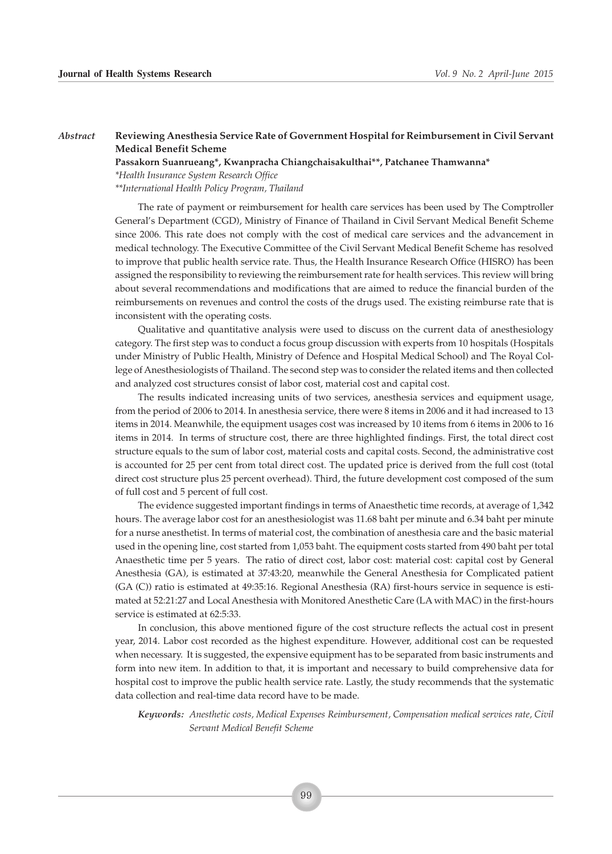#### *Abstract* **Reviewing Anesthesia Service Rate of Government Hospital for Reimbursement in Civil Servant Medical Benefit Scheme**

**Passakorn Suanrueang\*, Kwanpracha Chiangchaisakulthai\*\*, Patchanee Thamwanna\***

*\*Health Insurance System Research Office*

*\*\*International Health Policy Program, Thailand*

The rate of payment or reimbursement for health care services has been used by The Comptroller General's Department (CGD), Ministry of Finance of Thailand in Civil Servant Medical Benefit Scheme since 2006. This rate does not comply with the cost of medical care services and the advancement in medical technology. The Executive Committee of the Civil Servant Medical Benefit Scheme has resolved to improve that public health service rate. Thus, the Health Insurance Research Office (HISRO) has been assigned the responsibility to reviewing the reimbursement rate for health services. This review will bring about several recommendations and modifications that are aimed to reduce the financial burden of the reimbursements on revenues and control the costs of the drugs used. The existing reimburse rate that is inconsistent with the operating costs.

Qualitative and quantitative analysis were used to discuss on the current data of anesthesiology category. The first step was to conduct a focus group discussion with experts from 10 hospitals (Hospitals under Ministry of Public Health, Ministry of Defence and Hospital Medical School) and The Royal College of Anesthesiologists of Thailand. The second step was to consider the related items and then collected and analyzed cost structures consist of labor cost, material cost and capital cost.

The results indicated increasing units of two services, anesthesia services and equipment usage, from the period of 2006 to 2014. In anesthesia service, there were 8 items in 2006 and it had increased to 13 items in 2014. Meanwhile, the equipment usages cost was increased by 10 items from 6 items in 2006 to 16 items in 2014. In terms of structure cost, there are three highlighted findings. First, the total direct cost structure equals to the sum of labor cost, material costs and capital costs. Second, the administrative cost is accounted for 25 per cent from total direct cost. The updated price is derived from the full cost (total direct cost structure plus 25 percent overhead). Third, the future development cost composed of the sum of full cost and 5 percent of full cost.

The evidence suggested important findings in terms of Anaesthetic time records, at average of 1,342 hours. The average labor cost for an anesthesiologist was 11.68 baht per minute and 6.34 baht per minute for a nurse anesthetist. In terms of material cost, the combination of anesthesia care and the basic material used in the opening line, cost started from 1,053 baht. The equipment costs started from 490 baht per total Anaesthetic time per 5 years. The ratio of direct cost, labor cost: material cost: capital cost by General Anesthesia (GA), is estimated at 37:43:20, meanwhile the General Anesthesia for Complicated patient (GA (C)) ratio is estimated at 49:35:16. Regional Anesthesia (RA) first-hours service in sequence is estimated at 52:21:27 and Local Anesthesia with Monitored Anesthetic Care (LA with MAC) in the first-hours service is estimated at 62:5:33.

In conclusion, this above mentioned figure of the cost structure reflects the actual cost in present year, 2014. Labor cost recorded as the highest expenditure. However, additional cost can be requested when necessary. It is suggested, the expensive equipment has to be separated from basic instruments and form into new item. In addition to that, it is important and necessary to build comprehensive data for hospital cost to improve the public health service rate. Lastly, the study recommends that the systematic data collection and real-time data record have to be made.

*Keywords: Anesthetic costs, Medical Expenses Reimbursement, Compensation medical services rate, Civil Servant Medical Benefit Scheme*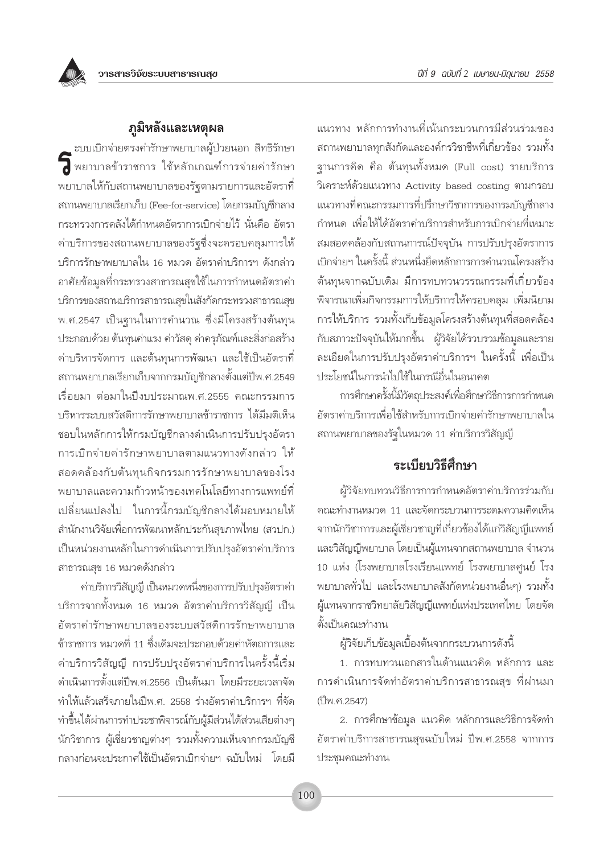

ู ะบบเบิกจ่ายตรงค่ารักษาพยาบาลผู้ป่วยนอก สิทธิรักษา พยาบาลข้าราชการ ใช้หลักเกณฑ์การจ่ายค่ารักษา ้ พยาบาลให้กับสถานพยาบาลของรัฐตามรายการและอัตราที่ สถานพยาบาลเรียกเก็บ (Fee-for-service) โดยกรมบัญชีกลาง ้กระทรวงการคลังได้กำหนดอัตราการเบิกจ่ายไว้ นั่นคือ อัตรา ้ค่าบริการของสถานพยาบาลของรัฐซึ่งจะครอบคลุมการให้ บริการรักษาพยาบาลใน 16 หมวด อัตราค่าบริการฯ ดังกล่าว ้อาศัยข้อมูลที่กระทรวงสาธารณสุขใช้ในการกำหนดอัตราค่า บริการของสถานบริการสาธารณสุขในสังกัดกระทรวงสาธารณสุข พ.ศ.2547 เป็นจานในการคำนวณ ซึ่งมีโครงสร้างต้นทุน ประกอบด้วย ต้นทุนค่าแรง ค่าวัสดุ ค่าครุภัณฑ์และสิ่งก่อสร้าง ้ค่าบริหารจัดการ และต้นทุนการพัฒนา และใช้เป็นอัตราที่ ิสถานพยาบาลเรียกเก็บจากกรมบัญชีกลางตั้งแต่ปีพ.ศ.2549 ้เรื่อยมา ต่อมาในปีงบประมาณพ.ศ.2555 คณะกรรมการ บริหารระบบสวัสดิการรักษาพยาบาลข้าราชการ ได้มีมติเห็น ชอบในหลักการให้กรมบัญชีกลางดำเนินการปรับปรุงอัตรา การเบิกจ่ายค่ารักษาพยาบาลตามแนวทางดังกล่าว ให้ สอดคล้องกับต้นทุนกิจกรรมการรักษาพยาบาลของโรง พยาบาลและความก้าวหน้าของเทคโนโลยีทางการแพทย์ที่ เปลี่ยนแปลงไป ในการนี้กรมบัญชีกลางได้มอบหมายให้ สำนักงานวิจัยเพื่อการพัฒนาหลักประกันสุขภาพไทย (สวปก.) เป็นหน่วยงานหลักในการดำเนินการปรับปรุงอัตราค่าบริการ สาธารณสุข 16 หมวดดังกล่าว

ค่าบริการวิสัญญี เป็นหมวดหนึ่งของการปรับปรุงอัตราค่า บริการจากทั้งหมด 16 หมวด อัตราค่าบริการวิสัญญี เป็น อัตราค่ารักษาพยาบาลของระบบสวัสดิการรักษาพยาบาล ์ข้าราชการ หมวดที่ 11 ซึ่งเดิมจะประกอบด้วยค่าหัตถการและ ้ค่าบริการวิสัญญี่ การปรับปรุงอัตราค่าบริการในครั้งนี้เริ่ม ้ดำเนินการตั้งแต่ปี่พ ศ 2556 เป็นต้นมา โดยมีระยะเวลาจัด ทำให้แล้วเสร็จภายในปีพ.ศ. 2558 ร่างอัตราค่าบริการฯ ที่จัด ทำขึ้นได้ผ่านการทำประชาพิจารณ์กับผู้มีส่วนได้ส่วนเสียต่างๆ นักวิชาการ ผู้เชี่ยวชาญต่างๆ รวมทั้งความเห็นจากกรมบัญชี ้กลางก่อนจะประกาศใช้เป็นอัตราเบิกจ่ายฯ ฉบับใหม่ โดยมี

แนวทาง หลักการทำงานที่เน้นกระบวนการมีส่วนร่วมของ สถานพยาบาลทุกสังกัดและองค์กรวิชาชีพที่เกี่ยวข้อง รวมทั้ง ฐานการคิด คือ ต้นทุนทั้งหมด (Full cost) รายบริการ วิเคราะห์ด้วยแนวทาง Activity based costing ตามกรอบ แนวทางที่คณะกรรมการที่ปรึกษาวิชาการของกรมบัญชีกลาง กำหนด เพื่อให้ได้อัตราค่าบริการสำหรับการเบิกจ่ายที่เหมาะ สมสอดคล้องกับสถานการณ์ปัจจุบัน การปรับปรุงอัตราการ เบิกจ่ายฯ ในครั้งนี้ ส่วนหนึ่งยึดหลักการการคำนวณโครงสร้าง ต้นทนจากฉบับเดิม มีการทบทวนวรรณกรรมที่เกี่ยวข้อง ้พิจารณาเพิ่มกิจกรรมการให้บริการให้ครอบคลุม เพิ่มนิยาม การให้บริการ รวมทั้งเก็บข้อมูลโครงสร้างต้นทุนที่สอดคล้อง กับสภาวะปัจจุบันให้มากขึ้น ผู้วิจัยได้รวบรวมข้อมูลและราย ละเอียดในการปรับปรุงอัตราค่าบริการฯ ในครั้งนี้ เพื่อเป็น ประโยชน์ในการนำไปใช้ในกรณีอื่นในอนาคต

การศึกษาครั้งนี้มีวัตถประสงค์เพื่อศึกษาวิธีการการกำหนด อัตราค่าบริการเพื่อใช้สำหรับการเบิกจ่ายค่ารักษาพยาบาลใน ิสถานพยาบาลของรัฐในหมวด 11 ค่าบริการวิสัญญี

## ระเบียบวิธีศึกษา

ผู้วิจัยทบทวนวิธีการการกำหนดอัตราค่าบริการร่วมกับ คณะทำงานหมวด 11 และจัดกระบวนการระดมความคิดเห็น จากนักวิชาการและผู้เชี่ยวชาญที่เกี่ยวข้องได้แก่วิสัญญีแพทย์ และวิสัญญีพยาบาล โดยเป็นผู้แทนจากสถานพยาบาล จำนวน 10 แห่ง (โรงพยาบาลโรงเรียนแพทย์ โรงพยาบาลศูนย์ โรง ้พยาบาลทั่วไป และโรงพยาบาลสังกัดหน่วยงานอื่นๆ) รวมทั้ง ผู้แทนจากราชวิทยาลัยวิสัญญีแพทย์แห่งประเทศไทย โดยจัด ตั้งเป็นคณะทำงาน

ผู้วิจัยเก็บข้อมูลเบื้องต้นจากกระบวนการดังนี้

1. การทบทวนเอกสารในด้านแนวคิด หลักการ และ การดำเนินการจัดทำอัตราค่าบริการสาธารณสุข ที่ผ่านมา (ปีพ.ศ.2547)

2. การศึกษาข้อมูล แนวคิด หลักการและวิธีการจัดทำ อัตราค่าบริการสาธารณสุขฉบับใหม่ ปีพ.ศ.2558 จากการ ประชุมคณะทำงาน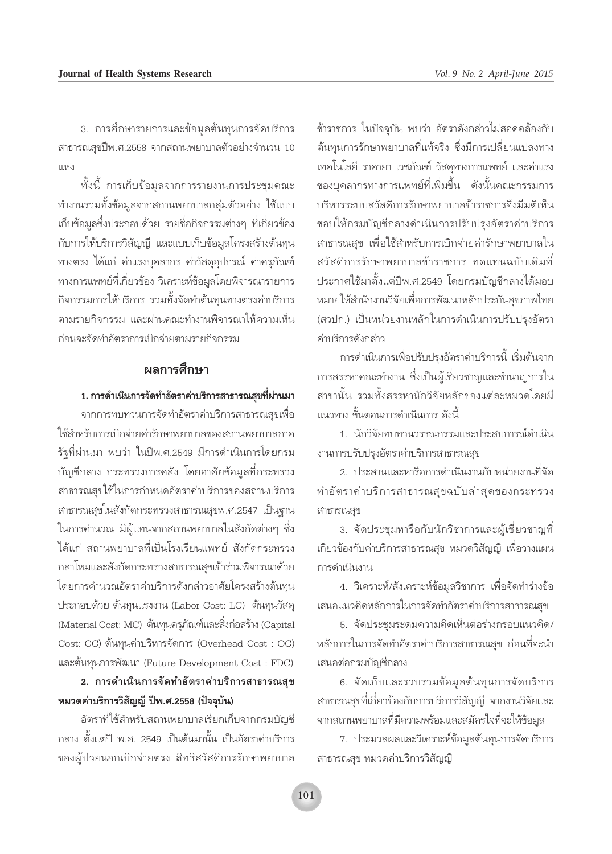3. การศึกษารายการและข้อมูลต้นทุนการจัดบริการ สาธารณสุขปีพ.ศ.2558 จากสถานพยาบาลตัวอย่างจำนวน 10  $1198.9$ 

์ทั้งนี้ การเก็บข้อมูลจากการรายงานการประชุมคณะ ้ทำงานรวมทั้งข้อมูลจากสถานพยาบาลกลุ่มตัวอย่าง ใช้แบบ เก็บข้อมูลซึ่งประกอบด้วย รายชื่อกิจกรรมต่างๆ ที่เกี่ยวข้อง กับการให้บริการวิสัญญี และแบบเก็บข้อมูลโครงสร้างต้นทุน ทางตรง ได้แก่ ค่าแรงบุคลากร ค่าวัสดุอุปกรณ์ ค่าครุภัณฑ์ ้ทางการแพทย์ที่เกี่ยวข้อง วิเคราะห์ข้อมูลโดยพิจารณารายการ กิจกรรมการให้บริการ รวมทั้งจัดทำต้นทุนทางตรงค่าบริการ ตามรายกิจกรรม และผ่านคณะทำงานพิจารณาให้ความเห็น ก่อนจะจัดทำอัตราการเบิกจ่ายตามรายกิจกรรม

### ผลการศึกษา

#### 1. การดำเนินการจัดทำอัตราค่าบริการสาธารณสุขที่ผ่านมา

จากการทบทวนการจัดทำอัตราค่าบริการสาธารณสุขเพื่อ ใช้สำหรับการเบิกจ่ายค่ารักษาพยาบาลของสถานพยาบาลภาค รัฐที่ผ่านมา พบว่า ในปีพ.ศ.2549 มีการดำเนินการโดยกรม บัญชีกลาง กระทรวงการคลัง โดยอาศัยข้อมูลที่กระทรวง สาธารณสุขใช้ในการกำหนดอัตราค่าบริการของสถานบริการ สาธารณสุขในสังกัดกระทรวงสาธารณสุขพ.ศ.2547 เป็นฐาน ในการคำนวณ มีผู้แทนจากสถานพยาบาลในสังกัดต่างๆ ซึ่ง ได้แก่ สถานพยาบาลที่เป็นโรงเรียนแพทย์ สังกัดกระทรวง กลาโหมและสังกัดกระทรวงสาธารณสุขเข้าร่วมพิจารณาด้วย โดยการคำนวณอัตราค่าบริการดังกล่าวอาศัยโครงสร้างต้นทุน ประกอบด้วย ต้นทุนแรงงาน (Labor Cost: LC) ต้นทุนวัสดุ (Material Cost: MC) ต้นทุนครูภัณฑ์และสิ่งก่อสร้าง (Capital Cost: CC) ต้นทุนค่าบริหารจัดการ (Overhead Cost : OC) และต้นทุนการพัฒนา (Future Development Cost : FDC)

## 2. การดำเนินการจัดทำอัตราค่าบริการสาธารณสุข หมวดค่าบริการวิสัญญี่ ปีพ.ศ.2558 (ปัจจุบัน)

อัตราที่ใช้สำหรับสถานพยาบาลเรียกเก็บจากกรมบัญชี ึกลาง ตั้งแต่ปี พ.ศ. 2549 เป็นต้นมานั้น เป็นอัตราค่าบริการ ของผู้ป่วยนอกเบิกจ่ายตรง สิทธิสวัสดิการรักษาพยาบาล

ข้าราชการ ในปัจจุบัน พบว่า อัตราดังกล่าวไม่สอดคล้องกับ ต้นทุนการรักษาพยาบาลที่แท้จริง ซึ่งมีการเปลี่ยนแปลงทาง เทคโนโลยี ราคายา เวชภัณฑ์ วัสดุทางการแพทย์ และค่าแรง ของบุคลากรทางการแพทย์ที่เพิ่มขึ้น ดังนั้นคณะกรรมการ บริหารระบบสวัสดิการรักษาพยาบาลข้าราชการจึงมีมติเห็น ชอบให้กรมบัญชีกลางดำเนินการปรับปรุงอัตราค่าบริการ สาธารณสุข เพื่อใช้สำหรับการเบิกจ่ายค่ารักษาพยาบาลใน สวัสดิการรักษาพยาบาลข้าราชการ ทดแทนฉบับเดิมที่ ประกาศใช้มาตั้งแต่ปีพ.ศ.2549 โดยกรมบัญชีกลางได้มอบ หมายให้สำนักงานวิจัยเพื่อการพัฒนาหลักประกันสุขภาพไทย (สวปก.) เป็นหน่วยงานหลักในการดำเนินการปรับปรุงอัตรา ค่าบริการดังกล่าว

การดำเนินการเพื่อปรับปรุงอัตราค่าบริการนี้ เริ่มต้นจาก การสรรหาคณะทำงาน ซึ่งเป็นผู้เชี่ยวชาญและชำนาญการใน สาขานั้น รวมทั้งสรรหานักวิจัยหลักของแต่ละหมวดโดยมื แนวทาง ขั้นตอนการดำเนินการ ดังนี้

1 นักวิจัยทบทวนวรรณกรรมและประสบการณ์ดำเนิน งานการปรับปรุงอัตราค่าบริการสาธารณสุข

2. ประสานและหารือการดำเนินงานกับหน่วยงานที่จัด ทำอัตราค่าบริการสาธารณสุขฉบับล่าสุดของกระทรวง สาธารณสุข

3. จัดประชุมหารือกับนักวิชาการและผู้เชี่ยวชาญที่ เกี่ยวข้องกับค่าบริการสาธารณสุข หมวดวิสัญญี เพื่อวางแผน การดำเนินงาน

4. วิเคราะห์/สังเคราะห์ข้อมูลวิชาการ เพื่อจัดทำร่างข้อ เสนอแนวคิดหลักการในการจัดทำอัตราค่าบริการสาธารณสุข

5. จัดประชุมระดมความคิดเห็นต่อร่างกรอบแนวคิด/ หลักการในการจัดทำอัตราค่าบริการสาธารณสุข ก่อนที่จะนำ เสนอต่อกรมบัญชีกลาง

6. จัดเก็บและรวบรวมข้อมูลต้นทุนการจัดบริการ สาธารณสุขที่เกี่ยวข้องกับการบริการวิสัญญี จากงานวิจัยและ จากสถานพยาบาลที่มีความพร้อมและสมัครใจที่จะให้ข้อมูล

7. ประมวลผลและวิเคราะห์ข้อมูลต้นทุนการจัดบริการ สาธารณสุข หมวดค่าบริการวิสัญญี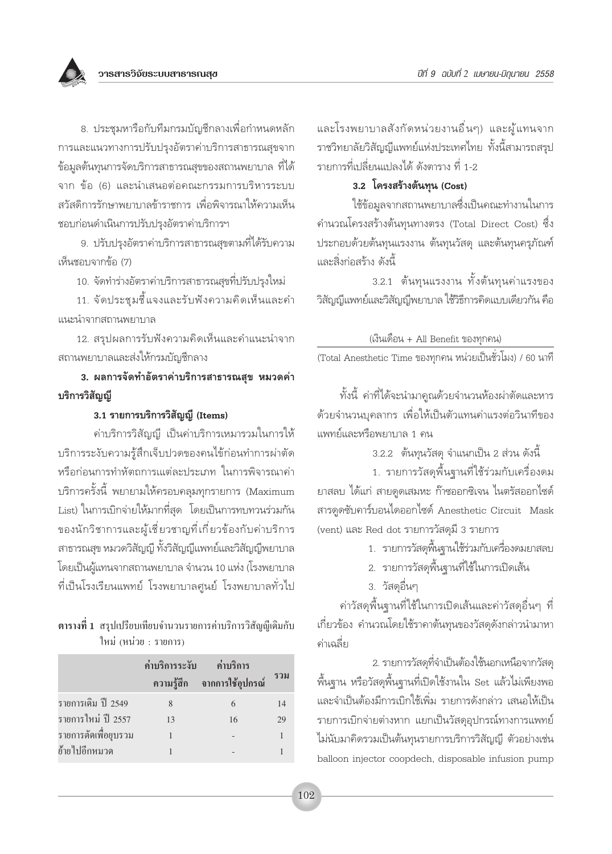

8. ประชุมหารือกับทีมกรมบัญชีกลางเพื่อกำหนดหลัก การและแนวทางการปรับปรุงอัตราค่าบริการสาธารณสุขจาก ข้อมูลต้นทุนการจัดบริการสาธารณสุขของสถานพยาบาล ที่ได้ จาก ข้อ (6) และนำเสนอต่อคณะกรรมการบริหารระบบ สวัสดิการรักษาพยาบาลข้าราชการ เพื่อพิจารณาให้ความเห็น ชอบก่อนดำเนินการปรับปรุงอัตราค่าบริการฯ

9. ปรับปรุงอัตราค่าบริการสาธารณสุขตามที่ได้รับความ เห็นชอบจากข้อ (7)

10. จัดทำร่างอัตราค่าบริการสาธารณสุขที่ปรับปรุงใหม่

11. จัดประชุมชี้แจงและรับฟังความคิดเห็นและคำ แนะนำจากสถานพยาบาล

12. สรุปผลการรับฟังความคิดเห็นและคำแนะนำจาก สถานพยาบาลและส่งให้กรมบัญชีกลาง

3. ผลการจัดทำอัตราค่าบริการสาธารณสุข หมวดค่า บริการวิสัญญี

#### 3.1 รายการบริการวิสัญญี (Items)

้ค่าบริการวิสัญญี่ เป็นค่าบริการเหมารวมในการให้ บริการระงับความรู้สึกเจ็บปวดของคนไข้ก่อนทำการผ่าตัด หรือก่อนการทำหัตถการแเต่ละประเภท ในการพิจารณาค่า บริการครั้งนี้ พยายามให้ครอบคลุมทุกรายการ (Maximum List) ในการเบิกจ่ายให้มากที่สุด โดยเป็นการทบทวนร่วมกัน ของนักวิชาการและผู้เชี่ยวชาญที่เกี่ยวข้องกับค่าบริการ สาธารณสุข หมวดวิสัญญี่ ทั้งวิสัญญี่แพทย์และวิสัญญี่พยาบาล โดยเป็นผู้แทนจากสถานพยาบาล จำนวน 10 แห่ง (โรงพยาบาล ที่เป็นโรงเรียนแพทย์ โรงพยาบาลศูนย์ โรงพยาบาลทั่วไป

ตารางที่ 1 สรุปเปรียบเทียบจำนวนรายการค่าบริการวิสัญญีเดิมกับ ใหม่ (หน่วย : รายการ)

|                      | ค่าบริการระงับ ค่าบริการ | ความรู้สึก จากการใช้อุปกรณ์ | รวม |
|----------------------|--------------------------|-----------------------------|-----|
| รายการเดิม ปี 2549   | 8                        | 6                           | 14  |
| รายการใหม่ ปี 2557   | 13                       | 16                          | 29  |
| รายการตัดเพื่อยุบรวม |                          |                             |     |
| ย้ายไปอีกหมวด        |                          |                             |     |
|                      |                          |                             |     |

และโรงพยาบาลสังกัดหน่วยงานอื่นๆ) และผู้แทนจาก ราชวิทยาลัยวิสัญญีแพทย์แห่งประเทศไทย ทั้งนี้สามารถสรุป รายการที่เปลี่ยนแปลงได้ ดังตาราง ที่ 1-2

#### 3.2 โครงสร้างต้นทุน (Cost)

ใช้ข้อมูลจากสถานพยาบาลซึ่งเป็นคณะทำงานในการ ้คำนวณโครงสร้างต้นทุนทางตรง (Total Direct Cost) ซึ่ง ประกอบด้วยต้นทุนแรงงาน ต้นทุนวัสดุ และต้นทุนครุภัณฑ์ และสิ่งก่อสร้าง ดังนี้

3.2.1 ต้นทุนแรงงาน ทั้งต้นทุนค่าแรงของ วิสัญญีแพทย์และวิสัญญีพยาบาล ใช้วิธีการคิดแบบเดียวกัน คือ

(เงินเดือน + All Benefit ของทุกคน)

(Total Anesthetic Time ของทุกคน หน่วยเป็นชั่วโมง) / 60 นาที

้ทั้งนี้ ค่าที่ได้จะนำมาคูณด้วยจำนวนห้องผ่าตัดและหาร ด้วยจำนวนบุคลากร เพื่อให้เป็นตัวแทนค่าแรงต่อวินาทีของ แพทย์และหรือพยาบาล 1 คน

3.2.2 ต้นทุนวัสดุ จำแนกเป็น 2 ส่วน ดังนี้

1. รายการวัสดุพื้นฐานที่ใช้ร่วมกับเครื่องดม ยาสลบ ได้แก่ สายดูดเสมหะ ก๊าซออกซิเจน ไนตรัสออกไซด์ สารดูดซับคาร์บอนไดออกไซด์ Anesthetic Circuit Mask (vent) และ Red dot รายการวัสดุมี 3 รายการ

- 1. รายการวัสดุพื้นฐานใช้ร่วมกับเครื่องดมยาสลบ
- 2. รายการวัสดุพื้นฐานที่ใช้ในการเปิดเส้น
- 3. วัสดุอื่นๆ

้ค่าวัสดุพื้นฐานที่ใช้ในการเปิดเส้นและค่าวัสดุอื่นๆ ที่ เกี่ยวข้อง คำนวณโดยใช้ราคาต้นทุนของวัสดุดังกล่าวนำมาหา ค่าเฉลี่ย

2. รายการวัสดุที่จำเป็นต้องใช้นอกเหนือจากวัสดุ ์พื้นฐาน หรือวัสดุพื้นฐานที่เปิดใช้งานใน Set แล้วไม่เพียงพอ และจำเป็นต้องมีการเบิกใช้เพิ่ม รายการดังกล่าว เสนอให้เป็น รายการเบิกจ่ายต่างหาก แยกเป็นวัสดุอุปกรณ์ทางการแพทย์ ไม่นับมาคิดรวมเป็นต้นทุนรายการบริการวิสัญญี ตัวอย่างเช่น balloon injector coopdech, disposable infusion pump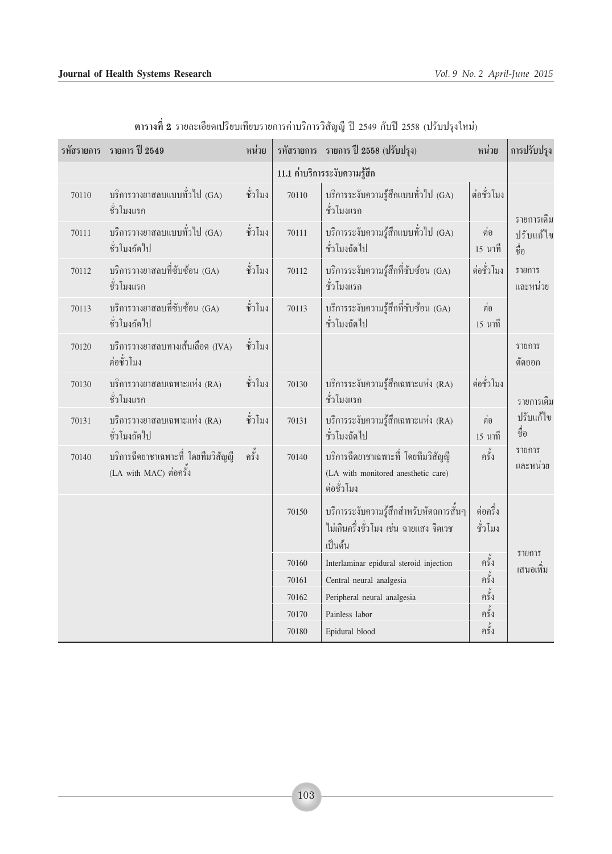#### **Journal of Health Systems Research** *Vol. 9 No. 2 April-June 2015*

|       | รหัสรายการ รายการ ปี 2549                                     | หน่วย   |                               | รหัสรายการ รายการ ปี 2558 (ปรับปรุง)                                                         | หน่วย               | การปรับปรุง         |  |
|-------|---------------------------------------------------------------|---------|-------------------------------|----------------------------------------------------------------------------------------------|---------------------|---------------------|--|
|       |                                                               |         | 11.1 ค่าบริการระงับความรู้สึก |                                                                                              |                     |                     |  |
| 70110 | บริการวางยาสลบแบบทั่วไป (GA)<br>ชั่วโมงแรก                    | ชั่วโมง | 70110                         | บริการระงับความรู้สึกแบบทั่วไป (GA)<br>ชั่วโมงแรก                                            | ต่อชั่วโมง          | รายการเดิม          |  |
| 70111 | บริการวางยาสลบแบบทั่วไป (GA)<br>ชั่วโมงถัดไป                  | ชั่วโมง | 70111                         | บริการระงับความรู้สึกแบบทั่วไป (GA)<br>ชั่วโมงถัดไป                                          | ต่อ<br>15 นาที      | ปรับแก้ไข<br>ี ซื่อ |  |
| 70112 | บริการวางยาสลบที่ซับซ้อน (GA)<br>ชั่วโมงแรก                   | ชั่วโมง | 70112                         | บริการระงับความรู้สึกที่ซับซ้อน (GA)<br>ชั่วโมงแรก                                           | ต่อชั่วโมง          | รายการ<br>และหน่วย  |  |
| 70113 | บริการวางยาสลบที่ซับซ้อน (GA)<br>ชั่วโมงถัดไป                 | ชั่วโมง | 70113                         | บริการระงับความรู้สึกที่ซับซ้อน (GA)<br>ชั่วโมงถัดไป                                         | ต่อ<br>15 นาที      |                     |  |
| 70120 | บริการวางยาสลบทางเส้นเลือด (IVA)<br>ต่อชั่วโมง                | ชั่วโมง |                               |                                                                                              |                     | รายการ<br>ตัดออก    |  |
| 70130 | บริการวางยาสลบเฉพาะแห่ง (RA)<br>ชั่วโมงแรก                    | ชั่วโมง | 70130                         | บริการระงับความรู้สึกเฉพาะแห่ง (RA)<br>ชั่วโมงแรก                                            | ต่อชั่วโมง          | รายการเดิม          |  |
| 70131 | บริการวางยาสลบเฉพาะแห่ง (RA)<br>ชั่วโมงถัดไป                  | ชั่วโมง | 70131                         | บริการระงับความรู้สึกเฉพาะแห่ง (RA)<br>ชั่วโมงถัดไป                                          | ต่อ<br>15 นาที      | ปรับแก้ไข<br>ชื่อ   |  |
| 70140 | บริการฉีดยาชาเฉพาะที่ โดยทีมวิสัญญี<br>(LA with MAC) ต่อครั้ง | ครั้ง   | 70140                         | บริการฉีดยาชาเฉพาะที่ โดยทีมวิสัญญี<br>(LA with monitored anesthetic care)<br>ต่อชั่วโมง     | ครั้ง               | รายการ<br>และหน่วย  |  |
|       |                                                               |         | 70150                         | บริการระงับความรู้สึกสำหรับหัตถการสั้นๆ<br>ไม่เกินครึ่งชั่วโมง เช่น ฉายแสง จิตเวช<br>เป็นต้น | ต่อครึ่ง<br>ชั่วโมง |                     |  |
|       |                                                               |         | 70160                         | Interlaminar epidural steroid injection                                                      | ์<br>ครั้ง          | รายการ<br>เสนอเพิ่ม |  |
|       |                                                               |         | 70161                         | Central neural analgesia                                                                     | ครั้ง               |                     |  |
|       |                                                               | 70162   | Peripheral neural analgesia   | ครั้ง                                                                                        |                     |                     |  |
|       |                                                               |         | 70170                         | Painless labor                                                                               | ครั้ง               |                     |  |
|       |                                                               | 70180   | Epidural blood                | ครั้ง                                                                                        |                     |                     |  |

ี **ตารางที่ 2** รายละเอียดเปรียบเทียบรายการค่าบริการวิสัญญี ปี 2549 กับปี 2558 (ปรับปรุงใหม่)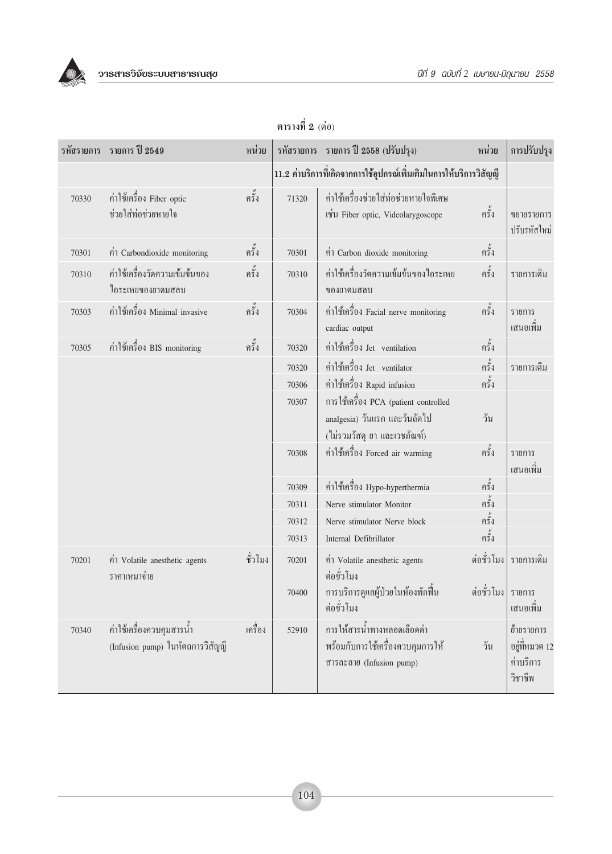

|       | รหัสรายการ รายการ ปี 2549                                     | หน่วย   |       | รหัสรายการ รายการ ปี 2558 (ปรับปรุง)                                                                   | หน่วย      | การปรับปรุง                                          |
|-------|---------------------------------------------------------------|---------|-------|--------------------------------------------------------------------------------------------------------|------------|------------------------------------------------------|
|       |                                                               |         |       | 11.2 ค่าบริการที่เกิดจากการใช้อุปกรณ์เพิ่มเติมในการให้บริการวิสัญญี                                    |            |                                                      |
| 70330 | ค่าใช้เครื่อง Fiber optic<br>ช่วยใส่ท่อช่วยหายใจ              | ครั้ง   | 71320 | ้ค่าใช้เครื่องช่วยใส่ท่อช่วยหายใจพิเศษ<br>เช่น Fiber optic, Videolarygoscope                           | ครั้ง      | ขยายรายการ<br>ปรับรหัสใหม่                           |
| 70301 | ค่ำ Carbondioxide monitoring                                  | ครั้ง   | 70301 | ค่ำ Carbon dioxide monitoring                                                                          | ครั้ง      |                                                      |
| 70310 | ค่าใช้เครื่องวัดความเข้มข้นของ<br>ไอระเหยของยาคมสลบ           | ครั้ง   | 70310 | ค่าใช้เครื่องวัดความเข้มข้นของไอระเหย<br>ของยาคมสลบ                                                    | ครั้ง      | รายการเดิม                                           |
| 70303 | ค่าใช้เครื่อง Minimal invasive                                | ครั้ง   | 70304 | ค่าใช้เครื่อง Facial nerve monitoring<br>cardiac output                                                | ครั้ง      | รายการ<br>เสนอเพิ่ม                                  |
| 70305 | ค่าใช้เครื่อง BIS monitoring                                  | ครั้ง   | 70320 | ค่าใช้เครื่อง Jet ventilation                                                                          | ครั้ง      |                                                      |
|       |                                                               |         | 70320 | ค่าใช้เครื่อง Jet ventilator                                                                           | ครั้ง      | รายการเดิม                                           |
|       |                                                               |         | 70306 | ค่าใช้เครื่อง Rapid infusion                                                                           | ครั้ง      |                                                      |
|       |                                                               |         | 70307 | การใช้เครื่อง PCA (patient controlled<br>analgesia) วันแรก และวันถัดไป<br>(ไม่รวมวัสดุ ยา และเวชภัณฑ์) | วัน        |                                                      |
|       |                                                               |         | 70308 | ค่าใช้เครื่อง Forced air warming                                                                       | ครั้ง      | รายการ<br>เสนอเพิ่ม                                  |
|       |                                                               |         | 70309 | ค่าใช้เครื่อง Hypo-hyperthermia                                                                        | ครั้ง      |                                                      |
|       |                                                               |         | 70311 | Nerve stimulator Monitor                                                                               | ครั้ง      |                                                      |
|       |                                                               |         | 70312 | Nerve stimulator Nerve block                                                                           | ครั้ง      |                                                      |
|       |                                                               |         | 70313 | Internal Defibrillator                                                                                 | ครั้ง      |                                                      |
| 70201 | ค่ำ Volatile anesthetic agents<br>ราคาเหมาจ่าย                | ชั่วโมง | 70201 | ค่ำ Volatile anesthetic agents<br>ต่อชั่วโมง                                                           | ต่อชั่วโมง | รายการเดิม                                           |
|       |                                                               |         | 70400 | การบริการดูแลผู้ป่วยในห้องพักฟื้น<br>ต่อชั่วโมง                                                        | ต่อชั่วโมง | รายการ<br>เสนอเพิ่ม                                  |
| 70340 | ค่าใช้เครื่องควบคุมสารน้ำ<br>(Infusion pump) ในหัตถการวิสัญญี | เครื่อง | 52910 | การให้สารน้ำทางหลอดเลือดดำ<br>พร้อมกับการใช้เครื่องควบคุมการให้<br>สารละลาย (Infusion pump)            | วัน        | ย้ำยรายการ<br>อยู่ที่หมวด 12<br>ค่าบริการ<br>วิชาชีพ |

# ตารางที่ 2 (ต่อ)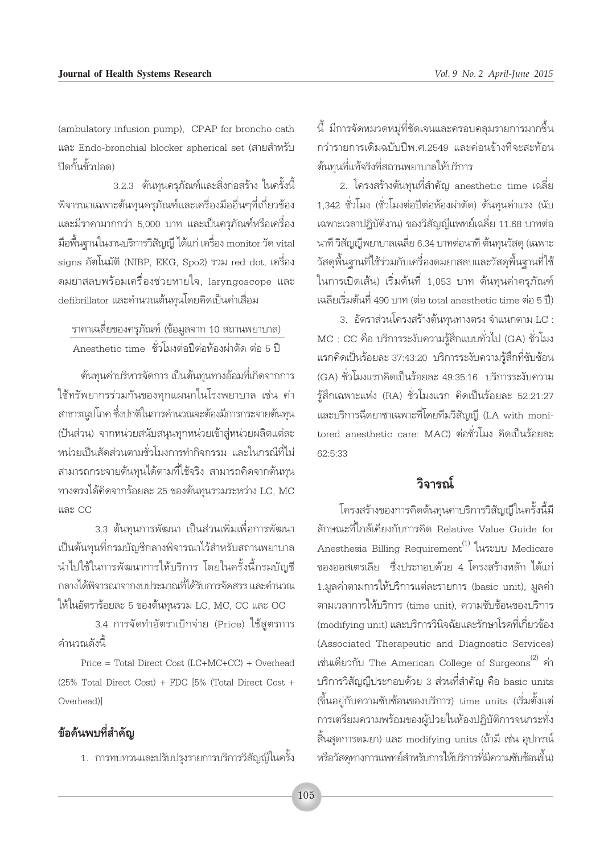(ambulatory infusion pump), CPAP for broncho cath และ Endo-bronchial blocker spherical set (สายสำหรับ ปิดกั้นข้าปอด)

3.2.3 ต้นทุนครูภัณฑ์และสิ่งก่อสร้าง ในครั้งนี้ ้พิจารณาเฉพาะต้นทุนครุภัณฑ์และเครื่องมืออื่นๆที่เกี่ยวข้อง และมีราคามากกว่า 5,000 บาท และเป็นครุภัณฑ์หรือเครื่อง มือพื้นฐานในงานบริการวิสัญญี ได้แก่ เครื่อง monitor วัด vital signs อัตโนมัติ (NIBP, EKG, Spo2) รวม red dot, เครื่อง ิดมยาสลบพร้อมเครื่องช่วยหายใจ, laryngoscope และ defibrillator และคำนวณต้นทุนโดยคิดเป็นค่าเสื่อม

ราคาเฉลี่ยของครูภัณฑ์ (ข้อมูลจาก 10 สถานพยาบาล) Anesthetic time ชั่วโมงต่อปีต่อห้องผ่าตัด ต่อ 5 ปี

ต้นทุนค่าบริหารจัดการ เป็นต้นทุนทางอ้อมที่เกิดจากการ ใช้ทรัพยากรร่วมกันของทุกแผนกในโรงพยาบาล เช่น ค่า สาธารณูปโภค ซึ่งปกติในการคำนวณจะต้องมีการกระจายต้นทุน (ปันส่วน) จากหน่วยสนับสนุนทุกหน่วยเข้าสู่หน่วยผลิตแต่ละ หน่วยเป็นสัดส่วนตามชั่วโมงการทำกิจกรรม และในกรณีที่ไม่ ้สามารถกระจายต้นทุนได้ตามที่ใช้จริง สามารถคิดจากต้นทุน ทางตรงได้คิดจากร้อยละ 25 ของต้นทุนรวมระหว่าง LC, MC และ CC

3.3 ต้นทุนการพัฒนา เป็นส่วนเพิ่มเพื่อการพัฒนา เป็นต้นทุนที่กรมบัญชีกลางพิจารณาไว้สำหรับสถานพยาบาล นำไปใช้ในการพัฒนาการให้บริการ โดยในครั้งนี้กรมบัญชี ้กลางได้พิจารณาจากงบประมาณที่ได้รับการจัดสรร และคำนวณ ให้ในอัตราร้อยละ 5 ของต้นทนรวม LC, MC, CC และ OC

3.4 การจัดทำอัตราเบิกจ่าย (Price) ใช้สูตรการ คำนวณดังนี้

Price = Total Direct Cost (LC+MC+CC) + Overhead  $(25\%$  Total Direct Cost) + FDC [5% (Total Direct Cost + Overhead)]

#### ข้อค้นพบที่สำคัญ

1. การทบทวนและปรับปรุงรายการบริการวิสัญญี่ในครั้ง

์นี้ มีการจัดหมวดหมู่ที่ชัดเจนและครอบคลุมรายการมากขึ้น กว่ารายการเดิมฉบับปีพ.ศ.2549 และค่อนข้างที่จะสะท้อน ต้นทนที่แท้จริงที่สถานพยาบาลให้บริการ

2. โครงสร้างต้นทุนที่สำคัญ anesthetic time เฉลี่ย 1,342 ชั่วโมง (ชั่วโมงต่อปีต่อห้องผ่าตัด) ต้นทุนค่าแรง (นับ เฉพาะเวลาปฏิบัติงาน) ของวิสัญญีแพทย์เฉลี่ย 11.68 บาทต่อ ้นาที่ วิสัญญี่พยาบาลเฉลี่ย 6.34 บาทต่อนาที ต้นทุนวัสดุ (เฉพาะ ้วัสดุพื้นฐานที่ใช้ร่วมกับเครื่องดมยาสลบและวัสดุพื้นฐานที่ใช้ ในการเปิดเส้น) เริ่มต้นที่ 1,053 บาท ต้นทุนค่าครุภัณฑ์ เฉลี่ยเริ่มต้นที่ 490 บาท (ต่อ total anesthetic time ต่อ 5 ปี)

3. อัตราส่วนโครงสร้างต้นทุนทางตรง จำแนกตาม LC : MC : CC คือ บริการระงับความรู้สึกแบบทั่วไป (GA) ชั่วโมง แรกคิดเป็นร้อยละ 37:43:20 บริการระงับความรู้สึกที่ซับซ้อน (GA) ชั่วโมงแรกคิดเป็นร้อยละ 49:35:16 บริการระงับความ รู้สึกเฉพาะแห่ง (RA) ชั่วโมงแรก คิดเป็นร้อยละ 52:21:27 และบริการฉีดยาชาเฉพาะที่โดยทีมวิสัญญี (LA with monitored anesthetic care: MAC) ต่อชั่วโมง คิดเป็นร้อยละ  $62.5.33$ 

#### วิจารณ์

โครงสร้างของการคิดต้นทุนค่าบริการวิสัญญีในครั้งนี้มี ลักษณะที่ใกล้เคียงกับการคิด Relative Value Guide for Anesthesia Billing Requirement<sup>(1)</sup> ในระบบ Medicare ของออสเตรเลีย ซึ่งประกอบด้วย 4 โครงสร้างหลัก ได้แก่ 1.มูลค่าตามการให้บริการแต่ละรายการ (basic unit), มูลค่า ตามเวลาการให้บริการ (time unit), ความซับซ้อนของบริการ (modifying unit) และบริการวินิจฉัยและรักษาโรคที่เกี่ยวข้อง (Associated Therapeutic and Diagnostic Services) เช่นเดียวกับ The American College of Surgeons<sup>(2)</sup> ค่า บริการวิสัญญี่ประกอบด้วย 3 ส่วนที่สำคัญ คือ basic units (ขึ้นอยู่กับความซับซ้อนของบริการ) time units (เริ่มตั้งแต่ การเตรียมความพร้อมของผู้ป่วยในห้องปฏิบัติการจนกระทั่ง ์สิ้นสุดการดมยา) และ modifying units (ถ้ามี เช่น อุปกรณ์ หรือวัสดุทางการแพทย์สำหรับการให้บริการที่มีความซับซ้อนขึ้น)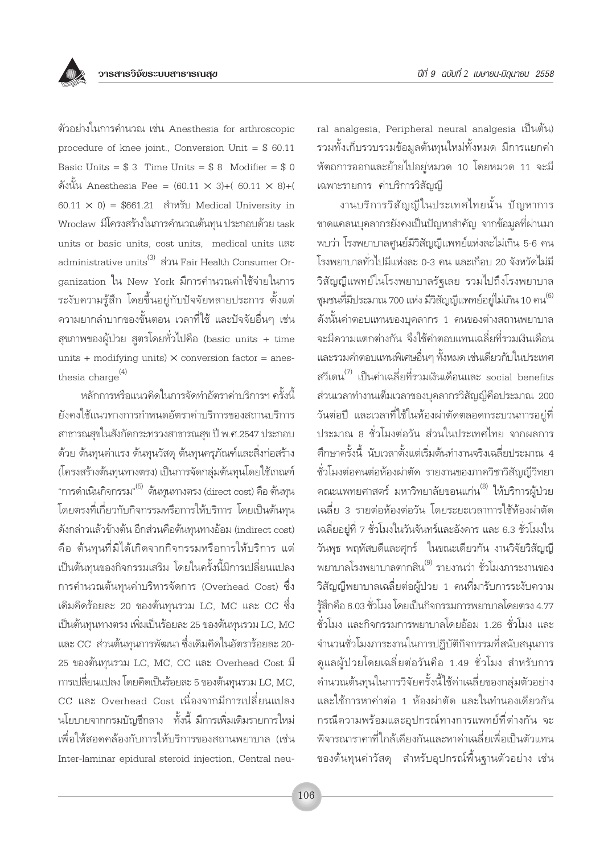ตัวอย่างในการคำนวณ เช่น Anesthesia for arthroscopic procedure of knee joint., Conversion Unit =  $$60.11$ Basic Units =  $$3$  Time Units =  $$8$  Modifier =  $$0$ ดังนั้น Anesthesia Fee =  $(60.11 \times 3) + (60.11 \times 8) + ($  $60.11 \times 0$  = \$661.21 สำหรับ Medical University in Wroclaw มีโครงสร้างในการคำนวณต้นทุน ประกอบด้วย task units or basic units, cost units, medical units และ administrative units<sup>(3)</sup> ส่วน Fair Health Consumer Organization ใน New York มีการคำนวณค่าใช้จ่ายในการ ระงับความรู้สึก โดยขึ้นอยู่กับปัจจัยหลายประการ ตั้งแต่ ้ความยากลำบากของขั้นตอน เวลาที่ใช้ และปัจจัยอื่นๆ เช่น สุขภาพของผู้ป่วย สูตรโดยทั่วไปคือ (basic units + time units + modifying units)  $\times$  conversion factor = anesthesia charge<sup>(4)</sup>

หลักการหรือแนวคิดในการจัดทำอัตราค่าบริการฯ ครั้งนี้ ย้งคงใช้แนวทางการกำหนดอัตราค่าบริการของสถานบริการ สาธารณสุขในสังกัดกระทรวงสาธารณสุข ปี พ.ศ.2547 ประกอบ ้ด้วย ต้นทุนค่าแรง ต้นทุนวัสดุ ต้นทุนครุภัณฑ์และสิ่งก่อสร้าง (โครงสร้างต้นทุนทางตรง) เป็นการจัดกลุ่มต้นทุนโดยใช้เกณฑ์ "การดำเนินกิจกรรม"<sup>(5)</sup> ต้นทุนทางตรง (direct cost) คือ ต้นทุน โดยตรงที่เกี่ยวกับกิจกรรมหรือการให้บริการ โดยเป็นต้นทุน ดังกล่าวแล้วข้างต้น อีกส่วนคือต้นทุนทางอ้อม (indirect cost) ้คือ ต้นทุนที่มิได้เกิดจากกิจกรรมหรือการให้บริการ แต่ เป็นต้นทุนของกิจกรรมเสริม โดยในครั้งนี้มีการเปลี่ยนแปลง การคำนวณต้นทุนค่าบริหารจัดการ (Overhead Cost) ซึ่ง เดิมคิดร้อยละ 20 ของต้นทุนรวม LC, MC และ CC ซึ่ง เป็นต้นทุนทางตรง เพิ่มเป็นร้อยละ 25 ของต้นทุนรวม LC, MC และ CC ส่วนต้นทุนการพัฒนา ซึ่งเดิมคิดในอัตราร้อยละ 20-25 ของต้นทุนรวม LC, MC, CC และ Overhead Cost มี การเปลี่ยนแปลง โดยคิดเป็นร้อยละ 5 ของต้นทุนรวม LC, MC, CC และ Overhead Cost เนื่องจากมีการเปลี่ยนแปลง ็นโยบายจากกรมบัญชีกลาง ทั้งนี้ มีการเพิ่มเติมรายการใหม่ เพื่อให้สอดคล้องกับการให้บริการของสถานพยาบาล (เช่น Inter-laminar epidural steroid injection, Central neu-

ral analgesia, Peripheral neural analgesia เป็นต้น) รวมทั้งเก็บรวบรวมข้อมูลต้นทุนใหม่ทั้งหมด มีการแยกค่า หัตถการออกและย้ายไปอยู่หมวด 10 โดยหมวด 11 จะมี เฉพาะรายการ ค่าบริการวิสัญญี

งานบริการวิสัญญี่ในประเทศไทยนั้น ปัญหาการ ขาดแคลนบุคลากรยังคงเป็นปัญหาสำคัญ จากข้อมูลที่ผ่านมา พบว่า โรงพยาบาลศูนย์มีวิสัญญีแพทย์แห่งละไม่เกิน 5-6 คน โรงพยาบาลทั่วไปมีแห่งละ 0-3 คน และเกือบ 20 จังหวัดไม่มี วิสัญญีแพทย์ในโรงพยาบาลรัฐเลย รวมไปถึงโรงพยาบาล ี ชุมชนที่มีประมาณ 700 แห่ง มีวิสัญญีแพทย์อยู่ไม่เกิน 10 คน<sup>(6)</sup> ์ดังนั้นค่าตอบแทนของบุคลากร 1 คนของต่างสถานพยาบาล จะมีความแตกต่างกัน จึงใช้ค่าตอบแทนเฉลี่ยที่รวมเงินเดือน และรวมค่าตอบแทนพิเศษอื่นๆ ทั้งหมด เช่นเดียวกับในประเทศ สวีเดน $^{(7)}$  เป็นค่าเฉลี่ยที่รวมเงินเดือนและ social benefits ส่วนเวลาทำงานเต็มเวลาของบุคลากรวิสัญญี่คือประมาณ 200 วันต่อปี และเวลาที่ใช้ในห้องผ่าตัดตลอดกระบวนการอยู่ที่ ประมาณ 8 ชั่วโมงต่อวัน ส่วนในประเทศไทย จากผลการ ้ศึกษาครั้งนี้ นับเวลาตั้งแต่เริ่มต้นทำงานจริงเฉลี่ยประมาณ 4 ชั่วโมงต่อคนต่อห้องผ่าตัด รายงานของภาควิชาวิสัญญีวิทยา ิ คณะแพทยศาสตร์ มหาวิทยาลัยขอนแก่น<sup>(8)</sup> ให้บริการผู้ป่วย เฉลี่ย 3 รายต่อห้องต่อวัน โดยระยะเวลาการใช้ห้องผ่าตัด เฉลี่ยอยู่ที่ 7 ชั่วโมงในวันจันทร์และอังคาร และ 6.3 ชั่วโมงใน วันพุธ พฤหัสบดีและศุกร์ ในขณะเดียวกัน งานวิจัยวิสัญญี ้พยาบาลโรงพยาบาลตากสิน<sup>(9)</sup> รายงานว่า ชั่วโมงภาระงานของ ้วิสัญญีพยาบาลเฉลี่ยต่อผู้ป่วย 1 คนที่มารับการระงับความ รู้สึกคือ 6.03 ชั่วโมง โดยเป็นกิจกรรมการพยาบาลโดยตรง 4.77 ชั่วโมง และกิจกรรมการพยาบาลโดยอ้อม 1.26 ชั่วโมง และ จำนวนชั่วโมงภาระงานในการปฏิบัติกิจกรรมที่สนับสนุนการ ดูแลผู้ป่วยโดยเฉลี่ยต่อวันคือ 1.49 ชั่วโมง สำหรับการ คำนวณต้นทุนในการวิจัยครั้งนี้ใช้ค่าเฉลี่ยของกลุ่มตัวอย่าง และใช้การหาค่าต่อ 1 ห้องผ่าตัด และในทำนองเดียวกัน กรณีความพร้อมและอุปกรณ์ทางการแพทย์ที่ต่างกัน จะ ้ พิจารณาราคาที่ใกล้เคียงกันและหาค่าเฉลี่ยเพื่อเป็นตัวแทน ของต้นทุนค่าวัสดุ สำหรับอุปกรณ์พื้นฐานตัวอย่าง เช่น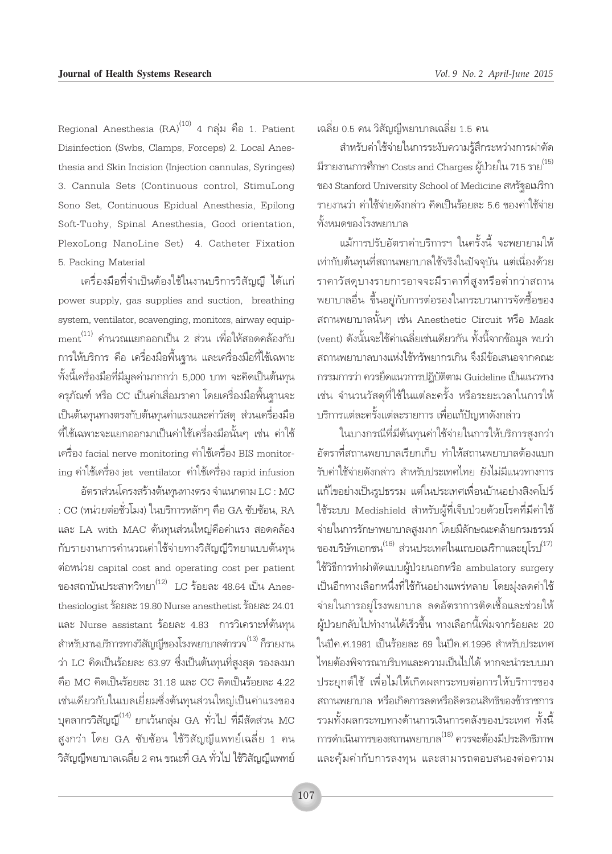Regional Anesthesia (RA)<sup>(10)</sup> 4 กลุ่ม คือ 1. Patient Disinfection (Swbs, Clamps, Forceps) 2. Local Anesthesia and Skin Incision (Injection cannulas, Syringes) 3. Cannula Sets (Continuous control, StimuLong Sono Set, Continuous Epidual Anesthesia, Epilong Soft-Tuohy, Spinal Anesthesia, Good orientation, PlexoLong NanoLine Set) 4. Catheter Fixation 5. Packing Material

เครื่องมือที่จำเป็นต้องใช้ในงานบริการวิสัญญี ได้แก่ power supply, gas supplies and suction, breathing system, ventilator, scavenging, monitors, airway equipment<sup>(11)</sup> คำนวณแยกออกเป็น 2 ส่วน เพื่อให้สอดคล้องกับ การให้บริการ คือ เครื่องมือพื้นฐาน และเครื่องมือที่ใช้เฉพาะ ทั้งนี้เครื่องมือที่มีมูลค่ามากกว่า 5,000 บาท จะคิดเป็นต้นทุน ครุภัณฑ์ หรือ CC เป็นค่าเสื่อมราคา โดยเครื่องมือพื้นฐานจะ เป็นต้นทุนทางตรงกับต้นทุนค่าแรงและค่าวัสดุ ส่วนเครื่องมือ ้ที่ใช้เฉพาะจะแยกออกมาเป็นค่าใช้เครื่องมือนั้นๆ เช่น ค่าใช้ เครื่อง facial nerve monitoring ค่าใช้เครื่อง BIS monitoring ค่าใช้เครื่อง jet ventilator ค่าใช้เครื่อง rapid infusion

อัตราส่วนโครงสร้างต้นทุนทางตรง จำแนกตาม LC : MC : CC (หน่วยต่อชั่วโมง) ในบริการหลักๆ คือ GA ซับซ้อน, RA และ LA with MAC ต้นทุนส่วนใหญ่คือค่าแรง สอดคล้อง กับรายงานการคำนวณค่าใช้จ่ายทางวิสัญญีวิทยาแบบต้นทุน ต่อหน่วย capital cost and operating cost per patient ของสถาบันประสาทวิทยา $^{(12)}$  LC ร้อยละ 48.64 เป็น Anesthesiologist ร้อยละ 19.80 Nurse anesthetist ร้อยละ 24.01 และ Nurse assistant ร้อยละ 4.83 การวิเคราะห์ต้นทุน สำหรับงานบริการทางวิสัญญี่ของโรงพยาบาลตำรวจ<sup>(13)</sup> ก็รายงาน ว่า LC คิดเป็นร้อยละ 63.97 ซึ่งเป็นต้นทุนที่สูงสุด รองลงมา คือ MC คิดเป็นร้อยละ 31.18 และ CC คิดเป็นร้อยละ 4.22 เช่นเดียวกับในเบลเยี่ยมซึ่งต้นทุนส่วนใหญ่เป็นค่าแรงของ บุคลากรวิสัญญี<sup>(14)</sup> ยกเว้นกลุ่ม GA ทั่วไป ที่มีสัดส่วน MC สูงกว่า โดย GA ซับซ้อน ใช้วิสัญญีแพทย์เฉลี่ย 1 คน วิสัญญีพยาบาลเฉลี่ย 2 คน ขณะที่ GA ทั่วไป ใช้วิสัญญีแพทย์ เฉลี่ย 0.5 คน วิสัญญีพยาบาลเฉลี่ย 1.5 คน

สำหรับค่าใช้จ่ายในการระงับความรู้สึกระหว่างการผ่าตัด มีรายงานการศึกษา Costs and Charges ผู้ป่วยใน 715 ราย<sup>(15)</sup> ของ Stanford University School of Medicine สหรัฐอเมริกา รายงานว่า ค่าใช้จ่ายดังกล่าว คิดเป็นร้อยละ 5.6 ของค่าใช้จ่าย ทั้งหมดของโรงพยาบาล

แม้การปรับอัตราค่าบริการฯ ในครั้งนี้ จะพยายามให้ เท่ากับต้นทุนที่สถานพยาบาลใช้จริงในปัจจุบัน แต่เนื่องด้วย ราคาวัสดุบางรายการอาจจะมีราคาที่สูงหรือต่ำกว่าสถาน ็พยาบาลอื่น ขึ้นอยู่กับการต่อรองในกระบวนการจัดซื้อของ สถานพยาบาลนั้นๆ เช่น Anesthetic Circuit หรือ Mask (vent) ดังนั้นจะใช้ค่าเฉลี่ยเช่นเดียวกัน ทั้งนี้จากข้อมูล พบว่า สถานพยาบาลบางแห่งใช้ทรัพยากรเกิน จึงมีข้อเสนอจากคณะ กรรมการว่า ควรยึดแนวการปภิบัติตาม Guideline เป็นแนวทาง เช่น จำนวนวัสดุที่ใช้ในแต่ละครั้ง หรือระยะเวลาในการให้ บริการแต่ละครั้งแต่ละรายการ เพื่อแก้ปัญหาดังกล่าว

ในบางกรณีที่มีต้นทุนค่าใช้จ่ายในการให้บริการสูงกว่า อัตราที่สถานพยาบาลเรียกเก็บ ทำให้สถานพยาบาลต้องแบก รับค่าใช้จ่ายดังกล่าว สำหรับประเทศไทย ยังไม่มีแนวทางการ แก้ไขอย่างเป็นรูปธรรม แต่ในประเทศเพื่อนบ้านอย่างสิงคโปร์ ใช้ระบบ Medishield สำหรับผู้ที่เจ็บป่วยด้วยโรคที่มีค่าใช้ จ่ายในการรักษาพยาบาลสูงมาก โดยมีลักษณะคล้ายกรมธรรม์ ของบริษัทเอกชน $^{(16)}$  ส่วนประเทศในแถบอเมริกาและยุโรป $^{(17)}$ ใช้วิธีการทำผ่าตัดแบบผู้ป่วยนอกหรือ ambulatory surgery เป็นอีกทางเลือกหนึ่งที่ใช้กันอย่างแพร่หลาย โดยมุ่งลดค่าใช้ จ่ายในการอยู่โรงพยาบาล ลดอัตราการติดเชื้อและช่วยให้ ผ้ป่วยกลับไปทำงานได้เร็วขึ้น ทางเลือกนี้เพิ่มจากร้อยละ 20 ในปีค.ศ.1981 เป็นร้อยละ 69 ในปีค.ศ.1996 สำหรับประเทศ ไทยต้องพิจารณาบริบทและความเป็นไปได้ หากจะนำระบบมา ประยุกต์ใช้ เพื่อไม่ให้เกิดผลกระทบต่อการให้บริการของ สถานพยาบาล หรือเกิดการลดหรือลิดรอนสิทธิของข้าราชการ รวมทั้งผลกระทบทางด้านการเงินการคลังของประเทศ ทั้งนี้ การดำเนินการของสถานพยาบาล<sup>(18)</sup> ควรจะต้องมีประสิทธิภาพ และคุ้มค่ากับการลงทุน และสามารถตอบสนองต่อความ